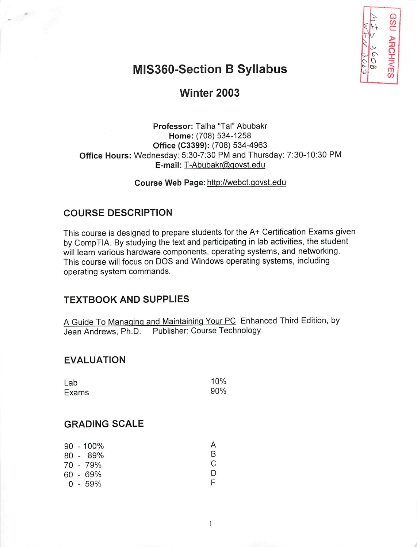

# MIS360-Section B Syllabus

## Winter 2003

*Professor:* Talha "Tal" Abubakr Home: (708) 534-1258 *Office (C3399):* (708) 534-4963 *Office Hours:* Wednesday: 5:30-7:30 PM and Thursday: 7:30-10:30 PM *E-mail:* T-Abubakr@govst.edu

*Course Web Page:* http://webct.govst.edu

#### *COURSE DESCRIPTION*

This course is designed to prepare students for the A+ Certification Exams given by CompTIA. By studying the text and participating in lab activities, the student will learn various hardware components, operating systems, and networking. This course will focus on DOS and Windows operating systems, including operating system commands.

#### *TEXTBOOK AND SUPPLIES*

A Guide To Managing and Maintaining Your PC Enhanced Third Edition, by Jean Andrews, Ph.D. Publisher: Course Technology

### *EVALUATION*

| Lab   | 10% |
|-------|-----|
| Exams | 90% |

### *GRADING SCALE*

|  | $90 - 100\%$ |    |
|--|--------------|----|
|  | 80 - 89%     | R  |
|  | 70 - 79%     | C. |
|  | 60 - 69%     | Ð  |
|  | $0 - 59%$    |    |

 $\mathbf{1}$